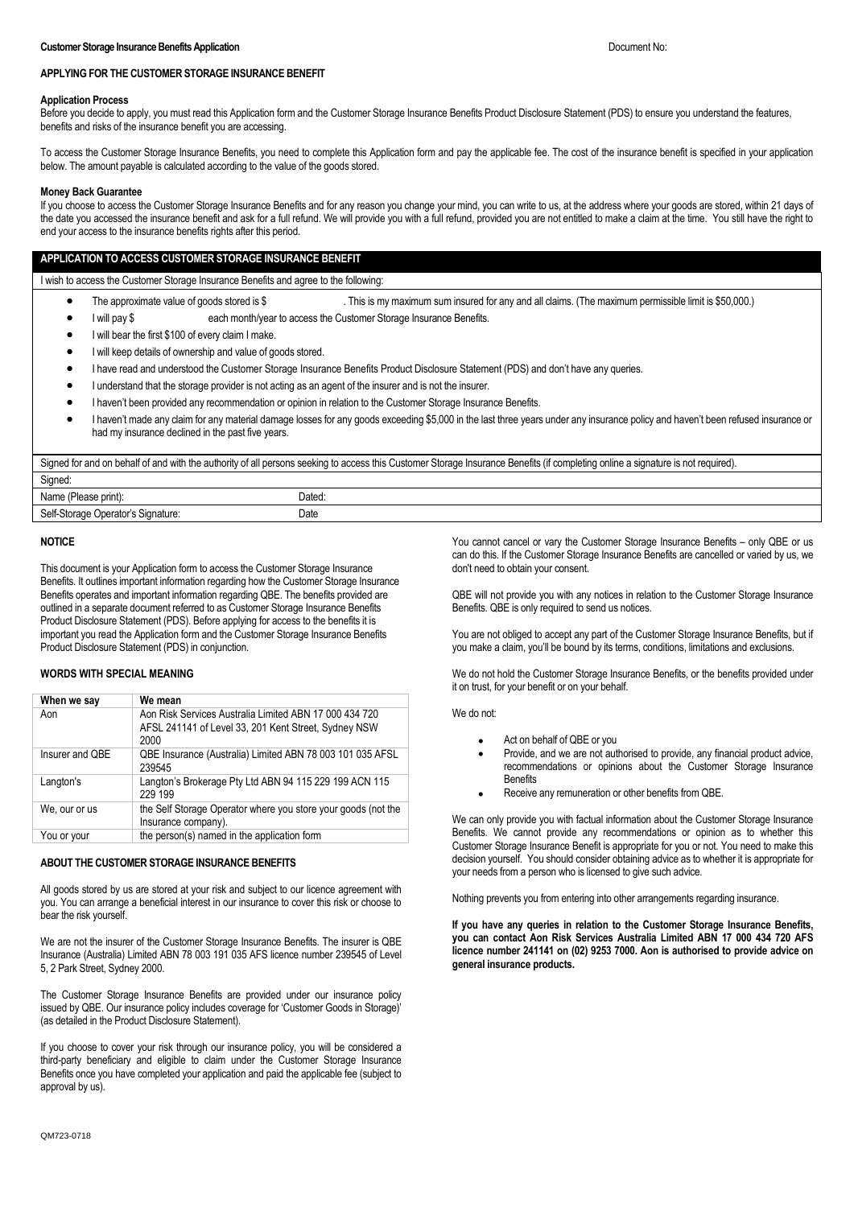#### **Customer Storage Insurance Benefits Application Document No: 1999 Document No: 1999 Document No: 1999**

### **APPLYING FOR THE CUSTOMER STORAGE INSURANCE BENEFIT**

#### **Application Process**

Before you decide to apply, you must read this Application form and the Customer Storage Insurance Benefits Product Disclosure Statement (PDS) to ensure you understand the features, benefits and risks of the insurance benefit you are accessing.

To access the Customer Storage Insurance Benefits, you need to complete this Application form and pay the applicable fee. The cost of the insurance benefit is specified in your application below. The amount payable is calculated according to the value of the goods stored.

#### **Money Back Guarantee**

If you choose to access the Customer Storage Insurance Benefits and for any reason you change your mind, you can write to us, at the address where your goods are stored, within 21 days of the date you accessed the insurance benefit and ask for a full refund. We will provide you with a full refund, provided you are not entitled to make a claim at the time. You still have the right to end your access to the insurance benefits rights after this period.

## **APPLICATION TO ACCESS CUSTOMER STORAGE INSURANCE BENEFIT**

I wish to access the Customer Storage Insurance Benefits and agree to the following:

- The approximate value of goods stored is \$ . This is my maximum sum insured for any and all claims. (The maximum permissible limit is \$50,000.)
	-
- I will pay \$ each month/year to access the Customer Storage Insurance Benefits.
	- I will bear the first \$100 of every claim I make.
	- I will keep details of ownership and value of goods stored.
	- I have read and understood the Customer Storage Insurance Benefits Product Disclosure Statement (PDS) and don't have any queries.
	- I understand that the storage provider is not acting as an agent of the insurer and is not the insurer.
	- I haven't been provided any recommendation or opinion in relation to the Customer Storage Insurance Benefits.
	- I haven't made any claim for any material damage losses for any goods exceeding \$5,000 in the last three years under any insurance policy and haven't been refused insurance or had my insurance declined in the past five years.

Signed for and on behalf of and with the authority of all persons seeking to access this Customer Storage Insurance Benefits (if completing online a signature is not required)

| -------                                                     |        |
|-------------------------------------------------------------|--------|
| Name<br>Dease print).                                       | Dated: |
| $CQ$ If $C$<br>$\sim$ $\cdot$<br>Doerator's Signature:<br>◡ | Date   |
|                                                             |        |

## **NOTICE**

**Signed:** 

This document is your Application form to access the Customer Storage Insurance Benefits. It outlines important information regarding how the Customer Storage Insurance Benefits operates and important information regarding QBE. The benefits provided are outlined in a separate document referred to as Customer Storage Insurance Benefits Product Disclosure Statement (PDS). Before applying for access to the benefits it is important you read the Application form and the Customer Storage Insurance Benefits Product Disclosure Statement (PDS) in conjunction.

## **WORDS WITH SPECIAL MEANING**

| Aon Risk Services Australia Limited ABN 17 000 434 720<br>Aon                                         |  |
|-------------------------------------------------------------------------------------------------------|--|
| AFSL 241141 of Level 33, 201 Kent Street, Sydney NSW<br>2000                                          |  |
| QBE Insurance (Australia) Limited ABN 78 003 101 035 AFSL<br>Insurer and QBE<br>239545                |  |
| Langton's Brokerage Pty Ltd ABN 94 115 229 199 ACN 115<br>Langton's<br>229 199                        |  |
| the Self Storage Operator where you store your goods (not the<br>We, our or us<br>Insurance company). |  |
| the person(s) named in the application form<br>You or your                                            |  |

## **ABOUT THE CUSTOMER STORAGE INSURANCE BENEFITS**

All goods stored by us are stored at your risk and subject to our licence agreement with you. You can arrange a beneficial interest in our insurance to cover this risk or choose to bear the risk yourself.

We are not the insurer of the Customer Storage Insurance Benefits. The insurer is QBE Insurance (Australia) Limited ABN 78 003 191 035 AFS licence number 239545 of Level 5, 2 Park Street, Sydney 2000.

The Customer Storage Insurance Benefits are provided under our insurance policy issued by QBE. Our insurance policy includes coverage for 'Customer Goods in Storage)' (as detailed in the Product Disclosure Statement).

If you choose to cover your risk through our insurance policy, you will be considered a third-party beneficiary and eligible to claim under the Customer Storage Insurance Benefits once you have completed your application and paid the applicable fee (subject to approval by us).

You cannot cancel or vary the Customer Storage Insurance Benefits – only QBE or us can do this. If the Customer Storage Insurance Benefits are cancelled or varied by us, we don't need to obtain your consent.

QBE will not provide you with any notices in relation to the Customer Storage Insurance Benefits. QBE is only required to send us notices.

You are not obliged to accept any part of the Customer Storage Insurance Benefits, but if you make a claim, you'll be bound by its terms, conditions, limitations and exclusions.

We do not hold the Customer Storage Insurance Benefits, or the benefits provided under it on trust, for your benefit or on your behalf.

We do not:

- Act on behalf of QBE or you
- Provide, and we are not authorised to provide, any financial product advice, recommendations or opinions about the Customer Storage Insurance **Benefits**
- Receive any remuneration or other benefits from QBE.

We can only provide you with factual information about the Customer Storage Insurance Benefits. We cannot provide any recommendations or opinion as to whether this Customer Storage Insurance Benefit is appropriate for you or not. You need to make this decision yourself. You should consider obtaining advice as to whether it is appropriate for your needs from a person who is licensed to give such advice.

Nothing prevents you from entering into other arrangements regarding insurance.

**If you have any queries in relation to the Customer Storage Insurance Benefits, you can contact Aon Risk Services Australia Limited ABN 17 000 434 720 AFS licence number 241141 on (02) 9253 7000. Aon is authorised to provide advice on general insurance products.**